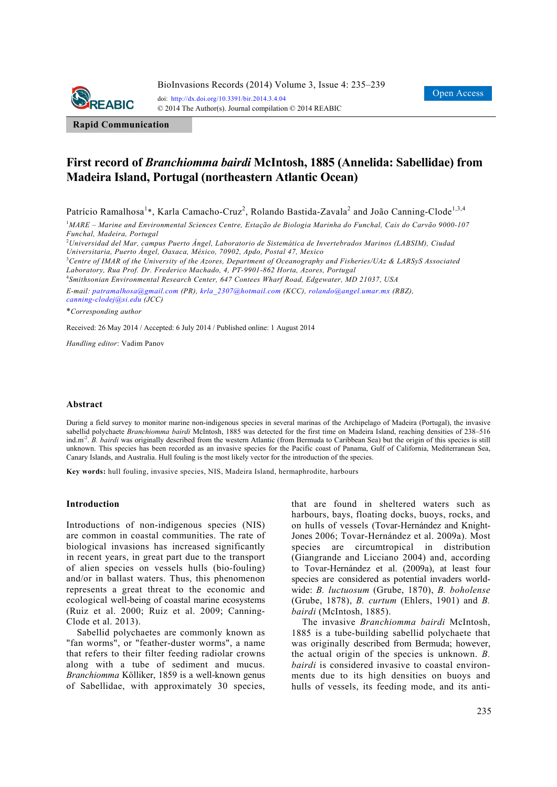

**Rapid Communication**

# **First record of** *Branchiomma bairdi* **McIntosh, 1885 (Annelida: Sabellidae) from Madeira Island, Portugal (northeastern Atlantic Ocean)**

Patrício Ramalhosa<sup>1</sup>\*, Karla Camacho-Cruz<sup>2</sup>, Rolando Bastida-Zavala<sup>2</sup> and João Canning-Clode<sup>1,3,4</sup>

1 *MARE – Marine and Environmental Sciences Centre, Estação de Biologia Marinha do Funchal, Cais do Carvão 9000-107 Funchal, Madeira, Portugal* 

2 *Universidad del Mar, campus Puerto Ángel, Laboratorio de Sistemática de Invertebrados Marinos (LABSIM), Ciudad Universitaria, Puerto Ángel, Oaxaca, México, 70902, Apdo, Postal 47, Mexico* 

3 *Centre of IMAR of the University of the Azores, Department of Oceanography and Fisheries/UAz & LARSyS Associated* 

*Laboratory, Rua Prof. Dr. Frederico Machado, 4, PT-9901-862 Horta, Azores, Portugal* 

4 *Smithsonian Environmental Research Center, 647 Contees Wharf Road, Edgewater, MD 21037, USA* 

*E-mail: patramalhosa@gmail.com (PR), krla\_2307@hotmail.com (KCC), rolando@angel.umar.mx (RBZ), canning-clodej@si.edu (JCC)*

\**Corresponding author* 

Received: 26 May 2014 / Accepted: 6 July 2014 / Published online: 1 August 2014

*Handling editor*: Vadim Panov

#### **Abstract**

During a field survey to monitor marine non-indigenous species in several marinas of the Archipelago of Madeira (Portugal), the invasive sabellid polychaete *Branchiomma bairdi* McIntosh, 1885 was detected for the first time on Madeira Island, reaching densities of 238–516 ind.m<sup>-2</sup>. *B. bairdi* was originally described from the western Atlantic (from Bermuda to Caribbean Sea) but the origin of this species is still unknown. This species has been recorded as an invasive species for the Pacific coast of Panama, Gulf of California, Mediterranean Sea, Canary Islands, and Australia. Hull fouling is the most likely vector for the introduction of the species.

**Key words:** hull fouling, invasive species, NIS, Madeira Island, hermaphrodite, harbours

#### **Introduction**

Introductions of non-indigenous species (NIS) are common in coastal communities. The rate of biological invasions has increased significantly in recent years, in great part due to the transport of alien species on vessels hulls (bio-fouling) and/or in ballast waters. Thus, this phenomenon represents a great threat to the economic and ecological well-being of coastal marine ecosystems (Ruiz et al. 2000; Ruiz et al. 2009; Canning-Clode et al. 2013).

Sabellid polychaetes are commonly known as "fan worms", or "feather-duster worms", a name that refers to their filter feeding radiolar crowns along with a tube of sediment and mucus. *Branchiomma* Kölliker, 1859 is a well-known genus of Sabellidae, with approximately 30 species, that are found in sheltered waters such as harbours, bays, floating docks, buoys, rocks, and on hulls of vessels (Tovar-Hernández and Knight-Jones 2006; Tovar-Hernández et al. 2009a). Most species are circumtropical in distribution (Giangrande and Licciano 2004) and, according to Tovar-Hernández et al. (2009a), at least four species are considered as potential invaders worldwide: *B. luctuosum* (Grube, 1870), *B. boholense* (Grube, 1878), *B. curtum* (Ehlers, 1901) and *B. bairdi* (McIntosh, 1885).

The invasive *Branchiomma bairdi* McIntosh, 1885 is a tube-building sabellid polychaete that was originally described from Bermuda; however, the actual origin of the species is unknown. *B. bairdi* is considered invasive to coastal environments due to its high densities on buoys and hulls of vessels, its feeding mode, and its anti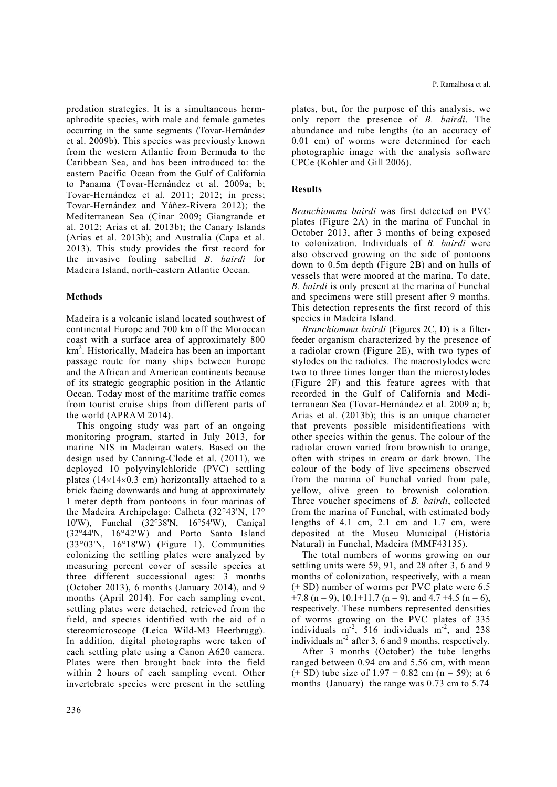predation strategies. It is a simultaneous hermaphrodite species, with male and female gametes occurring in the same segments (Tovar-Hernández et al. 2009b). This species was previously known from the western Atlantic from Bermuda to the Caribbean Sea, and has been introduced to: the eastern Pacific Ocean from the Gulf of California to Panama (Tovar-Hernández et al. 2009a; b; Tovar-Hernández et al. 2011; 2012; in press; Tovar-Hernández and Yáñez-Rivera 2012); the Mediterranean Sea (Çinar 2009; Giangrande et al. 2012; Arias et al. 2013b); the Canary Islands (Arias et al. 2013b); and Australia (Capa et al. 2013). This study provides the first record for the invasive fouling sabellid *B. bairdi* for Madeira Island, north-eastern Atlantic Ocean.

### **Methods**

Madeira is a volcanic island located southwest of continental Europe and 700 km off the Moroccan coast with a surface area of approximately 800 km<sup>2</sup> . Historically, Madeira has been an important passage route for many ships between Europe and the African and American continents because of its strategic geographic position in the Atlantic Ocean. Today most of the maritime traffic comes from tourist cruise ships from different parts of the world (APRAM 2014).

This ongoing study was part of an ongoing monitoring program, started in July 2013, for marine NIS in Madeiran waters. Based on the design used by Canning-Clode et al. (2011), we deployed 10 polyvinylchloride (PVC) settling plates  $(14\times14\times0.3$  cm) horizontally attached to a brick facing downwards and hung at approximately 1 meter depth from pontoons in four marinas of the Madeira Archipelago: Calheta (32°43'N, 17° 10'W), Funchal (32°38'N, 16°54'W), Caniçal (32°44'N, 16°42'W) and Porto Santo Island (33°03'N, 16°18'W) (Figure 1). Communities colonizing the settling plates were analyzed by measuring percent cover of sessile species at three different successional ages: 3 months (October 2013), 6 months (January 2014), and 9 months (April 2014). For each sampling event, settling plates were detached, retrieved from the field, and species identified with the aid of a stereomicroscope (Leica Wild-M3 Heerbrugg). In addition, digital photographs were taken of each settling plate using a Canon A620 camera. Plates were then brought back into the field within 2 hours of each sampling event. Other invertebrate species were present in the settling

plates, but, for the purpose of this analysis, we only report the presence of *B. bairdi*. The abundance and tube lengths (to an accuracy of 0.01 cm) of worms were determined for each photographic image with the analysis software CPCe (Kohler and Gill 2006).

## **Results**

*Branchiomma bairdi* was first detected on PVC plates (Figure 2A) in the marina of Funchal in October 2013, after 3 months of being exposed to colonization. Individuals of *B. bairdi* were also observed growing on the side of pontoons down to 0.5m depth (Figure 2B) and on hulls of vessels that were moored at the marina. To date, *B. bairdi* is only present at the marina of Funchal and specimens were still present after 9 months. This detection represents the first record of this species in Madeira Island.

*Branchiomma bairdi* (Figures 2C, D) is a filterfeeder organism characterized by the presence of a radiolar crown (Figure 2E), with two types of stylodes on the radioles. The macrostylodes were two to three times longer than the microstylodes (Figure 2F) and this feature agrees with that recorded in the Gulf of California and Mediterranean Sea (Tovar-Hernández et al. 2009 a; b; Arias et al. (2013b); this is an unique character that prevents possible misidentifications with other species within the genus. The colour of the radiolar crown varied from brownish to orange, often with stripes in cream or dark brown. The colour of the body of live specimens observed from the marina of Funchal varied from pale, yellow, olive green to brownish coloration. Three voucher specimens of *B. bairdi*, collected from the marina of Funchal, with estimated body lengths of  $4.1 \text{ cm}$ ,  $2.1 \text{ cm}$  and  $1.7 \text{ cm}$ , were deposited at the Museu Municipal (História Natural) in Funchal, Madeira (MMF43135).

The total numbers of worms growing on our settling units were 59, 91, and 28 after 3, 6 and 9 months of colonization, respectively, with a mean  $(\pm SD)$  number of worms per PVC plate were 6.5  $\pm 7.8$  (n = 9), 10.1 $\pm$ 11.7 (n = 9), and 4.7  $\pm$ 4.5 (n = 6), respectively. These numbers represented densities of worms growing on the PVC plates of 335 individuals  $m<sup>-2</sup>$ , 516 individuals  $m<sup>-2</sup>$ , and 238 individuals  $m<sup>-2</sup>$  after 3, 6 and 9 months, respectively.

After 3 months (October) the tube lengths ranged between 0.94 cm and 5.56 cm, with mean  $(\pm SD)$  tube size of 1.97  $\pm$  0.82 cm (n = 59); at 6 months (January) the range was 0.73 cm to 5.74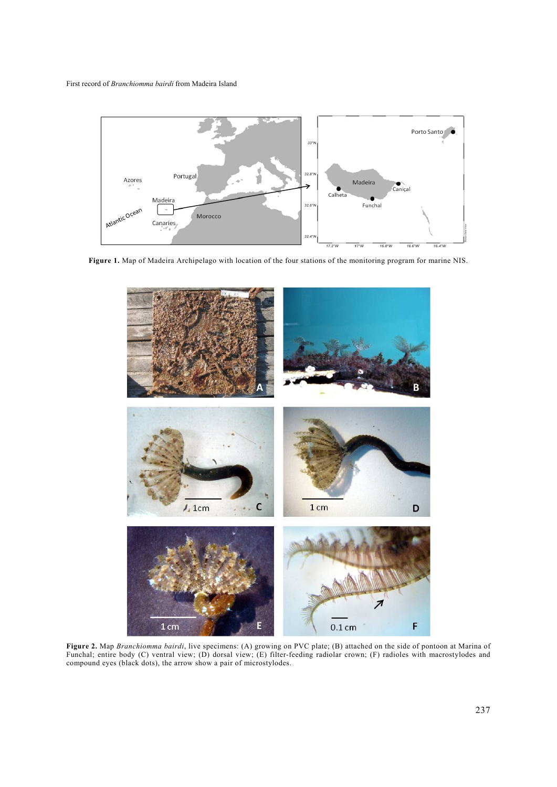

**Figure 1.** Map of Madeira Archipelago with location of the four stations of the monitoring program for marine NIS.



**Figure 2.** Map *Branchiomma bairdi*, live specimens: (A) growing on PVC plate; (B) attached on the side of pontoon at Marina of Funchal; entire body (C) ventral view; (D) dorsal view; (E) filter-feeding radiolar crown; (F) radioles with macrostylodes and compound eyes (black dots), the arrow show a pair of microstylodes.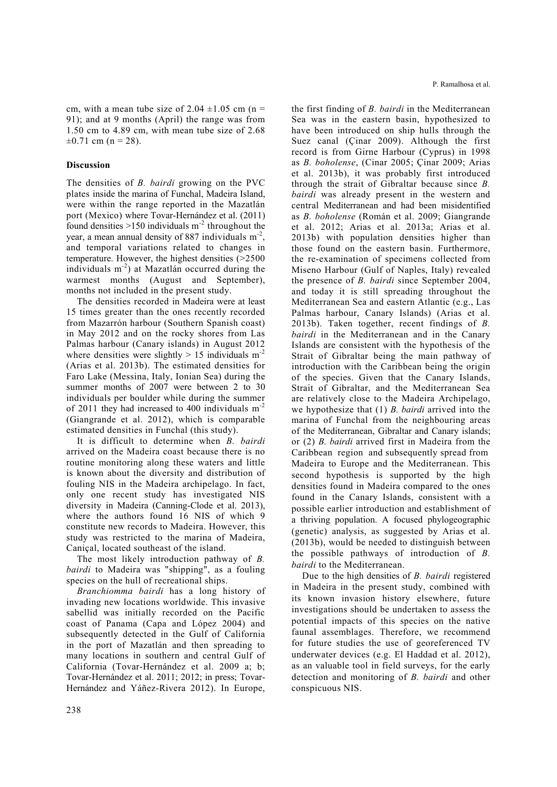cm, with a mean tube size of  $2.04 \pm 1.05$  cm (n = 91); and at 9 months (April) the range was from 1.50 cm to 4.89 cm, with mean tube size of 2.68  $\pm 0.71$  cm (n = 28).

### **Discussion**

The densities of *B. bairdi* growing on the PVC plates inside the marina of Funchal, Madeira Island, were within the range reported in the Mazatlán port (Mexico) where Tovar-Hernández et al. (2011) found densities  $>150$  individuals m<sup>-2</sup> throughout the year, a mean annual density of 887 individuals m-2, and temporal variations related to changes in temperature. However, the highest densities (>2500 individuals  $m^{-2}$ ) at Mazatlán occurred during the warmest months (August and September), months not included in the present study.

The densities recorded in Madeira were at least 15 times greater than the ones recently recorded from Mazarrón harbour (Southern Spanish coast) in May 2012 and on the rocky shores from Las Palmas harbour (Canary islands) in August 2012 where densities were slightly  $> 15$  individuals m<sup>-2</sup> (Arias et al. 2013b). The estimated densities for Faro Lake (Messina, Italy, Ionian Sea) during the summer months of 2007 were between 2 to 30 individuals per boulder while during the summer of 2011 they had increased to 400 individuals  $m<sup>-2</sup>$ (Giangrande et al. 2012), which is comparable estimated densities in Funchal (this study).

It is difficult to determine when *B. bairdi* arrived on the Madeira coast because there is no routine monitoring along these waters and little is known about the diversity and distribution of fouling NIS in the Madeira archipelago. In fact, only one recent study has investigated NIS diversity in Madeira (Canning-Clode et al. 2013), where the authors found 16 NIS of which 9 constitute new records to Madeira. However, this study was restricted to the marina of Madeira, Caniçal, located southeast of the island.

The most likely introduction pathway of *B. bairdi* to Madeira was "shipping", as a fouling species on the hull of recreational ships.

*Branchiomma bairdi* has a long history of invading new locations worldwide. This invasive sabellid was initially recorded on the Pacific coast of Panama (Capa and López 2004) and subsequently detected in the Gulf of California in the port of Mazatlán and then spreading to many locations in southern and central Gulf of California (Tovar-Hernández et al. 2009 a; b; Tovar-Hernández et al. 2011; 2012; in press; Tovar-Hernández and Yáñez-Rivera 2012). In Europe, the first finding of *B. bairdi* in the Mediterranean Sea was in the eastern basin, hypothesized to have been introduced on ship hulls through the Suez canal (Çinar 2009). Although the first record is from Girne Harbour (Cyprus) in 1998 as *B. boholense*, (Cinar 2005; Çinar 2009; Arias et al. 2013b), it was probably first introduced through the strait of Gibraltar because since *B. bairdi* was already present in the western and central Mediterranean and had been misidentified as *B. boholense* (Román et al. 2009; Giangrande et al. 2012; Arias et al. 2013a; Arias et al. 2013b) with population densities higher than those found on the eastern basin. Furthermore, the re-examination of specimens collected from Miseno Harbour (Gulf of Naples, Italy) revealed the presence of *B. bairdi* since September 2004, and today it is still spreading throughout the Mediterranean Sea and eastern Atlantic (e.g., Las Palmas harbour, Canary Islands) (Arias et al. 2013b). Taken together, recent findings of *B. bairdi* in the Mediterranean and in the Canary Islands are consistent with the hypothesis of the Strait of Gibraltar being the main pathway of introduction with the Caribbean being the origin of the species. Given that the Canary Islands, Strait of Gibraltar, and the Mediterranean Sea are relatively close to the Madeira Archipelago, we hypothesize that (1) *B. bairdi* arrived into the marina of Funchal from the neighbouring areas of the Mediterranean, Gibraltar and Canary islands; or (2) *B. bairdi* arrived first in Madeira from the Caribbean region and subsequently spread from Madeira to Europe and the Mediterranean. This second hypothesis is supported by the high densities found in Madeira compared to the ones found in the Canary Islands, consistent with a possible earlier introduction and establishment of a thriving population. A focused phylogeographic (genetic) analysis, as suggested by Arias et al. (2013b), would be needed to distinguish between the possible pathways of introduction of *B. bairdi* to the Mediterranean.

Due to the high densities of *B. bairdi* registered in Madeira in the present study, combined with its known invasion history elsewhere, future investigations should be undertaken to assess the potential impacts of this species on the native faunal assemblages. Therefore, we recommend for future studies the use of georeferenced TV underwater devices (e.g. El Haddad et al. 2012), as an valuable tool in field surveys, for the early detection and monitoring of *B. bairdi* and other conspicuous NIS.